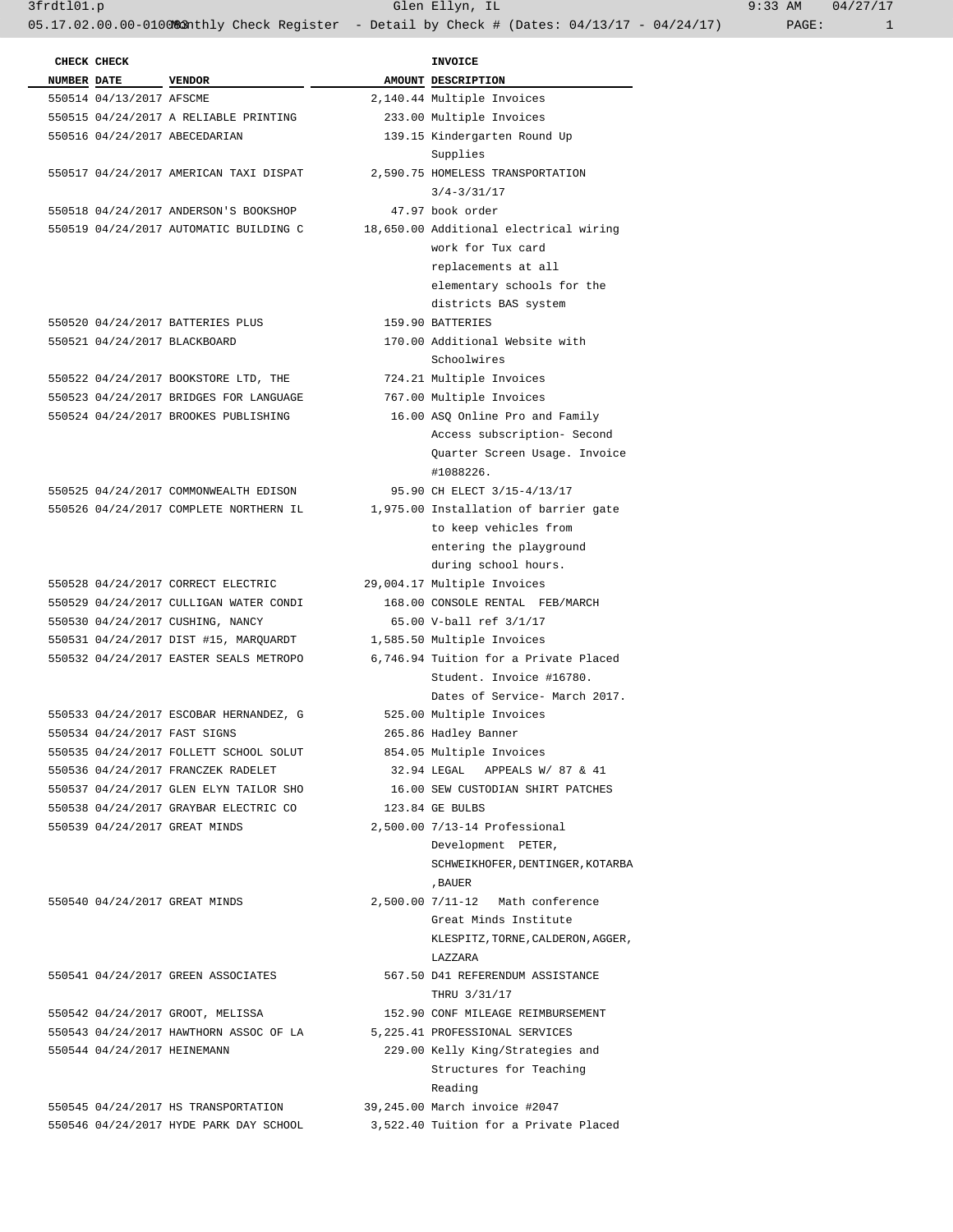3frdtl01.p Glen Ellyn, IL 9:33 AM 04/27/17

| CHECK CHECK                  |                                        | INVOICE                                |
|------------------------------|----------------------------------------|----------------------------------------|
| <b>NUMBER DATE</b>           | <b>VENDOR</b>                          | AMOUNT DESCRIPTION                     |
| 550514 04/13/2017 AFSCME     |                                        | 2,140.44 Multiple Invoices             |
|                              | 550515 04/24/2017 A RELIABLE PRINTING  | 233.00 Multiple Invoices               |
|                              | 550516 04/24/2017 ABECEDARIAN          | 139.15 Kindergarten Round Up           |
|                              |                                        | Supplies                               |
|                              | 550517 04/24/2017 AMERICAN TAXI DISPAT | 2,590.75 HOMELESS TRANSPORTATION       |
|                              |                                        | $3/4 - 3/31/17$                        |
|                              |                                        | 47.97 book order                       |
|                              | 550518 04/24/2017 ANDERSON'S BOOKSHOP  |                                        |
|                              | 550519 04/24/2017 AUTOMATIC BUILDING C | 18,650.00 Additional electrical wiring |
|                              |                                        | work for Tux card                      |
|                              |                                        | replacements at all                    |
|                              |                                        | elementary schools for the             |
|                              |                                        | districts BAS system                   |
|                              | 550520 04/24/2017 BATTERIES PLUS       | 159.90 BATTERIES                       |
| 550521 04/24/2017 BLACKBOARD |                                        | 170.00 Additional Website with         |
|                              |                                        | Schoolwires                            |
|                              | 550522 04/24/2017 BOOKSTORE LTD, THE   | 724.21 Multiple Invoices               |
|                              | 550523 04/24/2017 BRIDGES FOR LANGUAGE | 767.00 Multiple Invoices               |
|                              | 550524 04/24/2017 BROOKES PUBLISHING   | 16.00 ASQ Online Pro and Family        |
|                              |                                        | Access subscription- Second            |
|                              |                                        | Ouarter Screen Usage. Invoice          |
|                              |                                        | #1088226.                              |
|                              | 550525 04/24/2017 COMMONWEALTH EDISON  | 95.90 CH ELECT 3/15-4/13/17            |
|                              | 550526 04/24/2017 COMPLETE NORTHERN IL | 1,975.00 Installation of barrier gate  |
|                              |                                        | to keep vehicles from                  |
|                              |                                        | entering the playground                |
|                              |                                        | during school hours.                   |
|                              | 550528 04/24/2017 CORRECT ELECTRIC     | 29,004.17 Multiple Invoices            |
|                              |                                        | 168.00 CONSOLE RENTAL FEB/MARCH        |
|                              | 550529 04/24/2017 CULLIGAN WATER CONDI |                                        |
|                              | 550530 04/24/2017 CUSHING, NANCY       | 65.00 V-ball ref 3/1/17                |
|                              | 550531 04/24/2017 DIST #15, MARQUARDT  | 1,585.50 Multiple Invoices             |
|                              | 550532 04/24/2017 EASTER SEALS METROPO | 6,746.94 Tuition for a Private Placed  |
|                              |                                        | Student. Invoice #16780.               |
|                              |                                        | Dates of Service- March 2017.          |
|                              | 550533 04/24/2017 ESCOBAR HERNANDEZ, G | 525.00 Multiple Invoices               |
| 550534 04/24/2017 FAST SIGNS |                                        | 265.86 Hadley Banner                   |
|                              | 550535 04/24/2017 FOLLETT SCHOOL SOLUT | 854.05 Multiple Invoices               |
|                              | 550536 04/24/2017 FRANCZEK RADELET     | 32.94 LEGAL APPEALS W/ 87 & 41         |
|                              | 550537 04/24/2017 GLEN ELYN TAILOR SHO | 16.00 SEW CUSTODIAN SHIRT PATCHES      |
|                              | 550538 04/24/2017 GRAYBAR ELECTRIC CO  | 123.84 GE BULBS                        |
|                              | 550539 04/24/2017 GREAT MINDS          | 2,500.00 7/13-14 Professional          |
|                              |                                        | Development PETER,                     |
|                              |                                        | SCHWEIKHOFER, DENTINGER, KOTARBA       |
|                              |                                        | , BAUER                                |
|                              | 550540 04/24/2017 GREAT MINDS          | 2,500.00 7/11-12 Math conference       |
|                              |                                        | Great Minds Institute                  |
|                              |                                        | KLESPITZ, TORNE, CALDERON, AGGER,      |
|                              |                                        | LAZZARA                                |
|                              | 550541 04/24/2017 GREEN ASSOCIATES     | 567.50 D41 REFERENDUM ASSISTANCE       |
|                              |                                        | THRU 3/31/17                           |
|                              | 550542 04/24/2017 GROOT, MELISSA       | 152.90 CONF MILEAGE REIMBURSEMENT      |
|                              | 550543 04/24/2017 HAWTHORN ASSOC OF LA | 5,225.41 PROFESSIONAL SERVICES         |
| 550544 04/24/2017 HEINEMANN  |                                        | 229.00 Kelly King/Strategies and       |
|                              |                                        | Structures for Teaching                |
|                              |                                        | Reading                                |
|                              | 550545 04/24/2017 HS TRANSPORTATION    | 39,245.00 March invoice #2047          |
|                              | 550546 04/24/2017 HYDE PARK DAY SCHOOL | 3,522.40 Tuition for a Private Placed  |
|                              |                                        |                                        |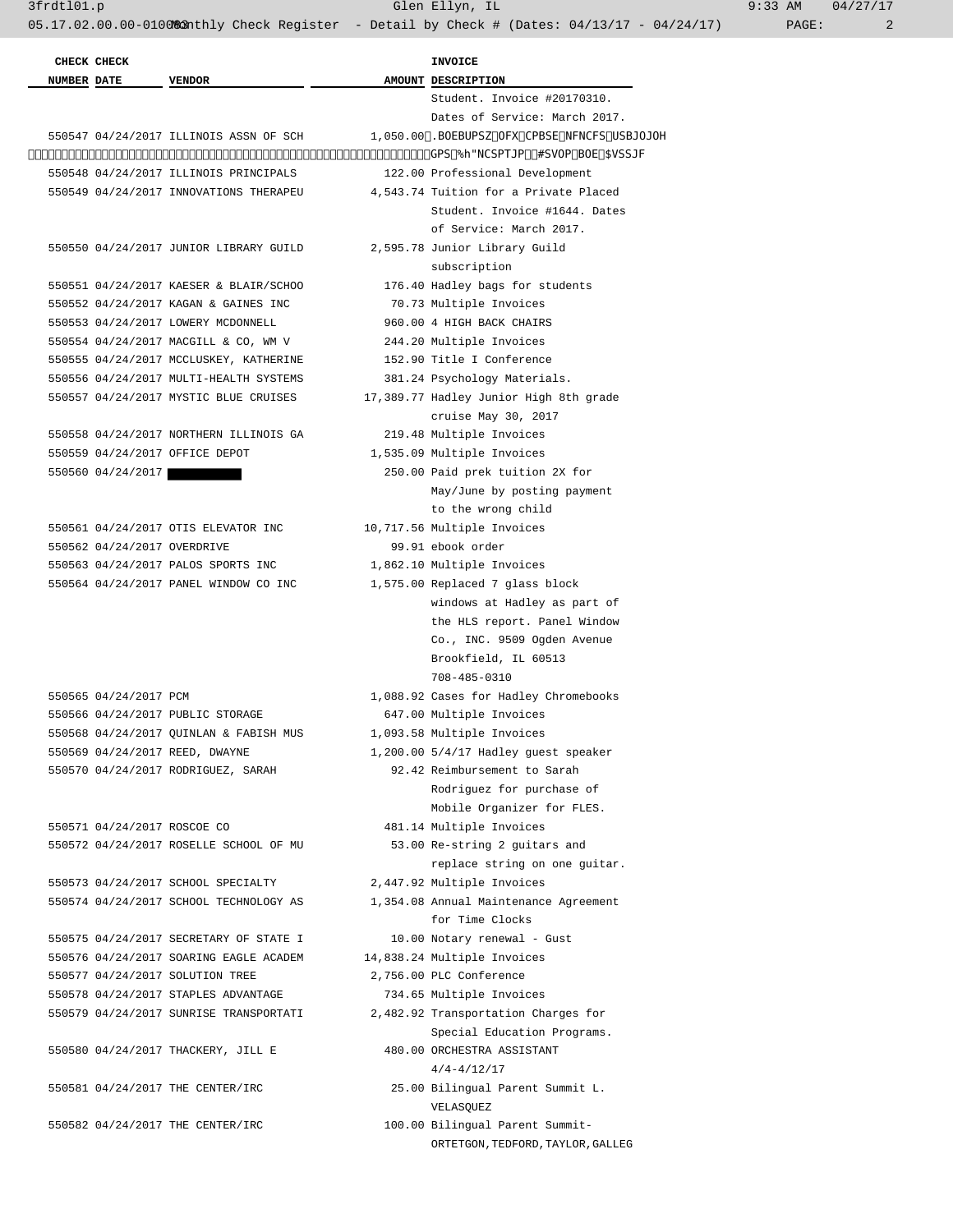|                    | CHECK CHECK                 |                                        | <b>INVOICE</b>                               |
|--------------------|-----------------------------|----------------------------------------|----------------------------------------------|
| <b>NUMBER DATE</b> |                             | <b>VENDOR</b>                          | AMOUNT DESCRIPTION                           |
|                    |                             |                                        | Student. Invoice #20170310.                  |
|                    |                             |                                        | Dates of Service: March 2017.                |
|                    |                             | 550547 04/24/2017 ILLINOIS ASSN OF SCH | 1,050.00 Mandatory new board member training |
|                    |                             |                                        | for D‡Ambrosio, Bruno and Currie             |
|                    |                             | 550548 04/24/2017 ILLINOIS PRINCIPALS  | 122.00 Professional Development              |
|                    |                             | 550549 04/24/2017 INNOVATIONS THERAPEU | 4,543.74 Tuition for a Private Placed        |
|                    |                             |                                        | Student. Invoice #1644. Dates                |
|                    |                             |                                        | of Service: March 2017.                      |
|                    |                             | 550550 04/24/2017 JUNIOR LIBRARY GUILD | 2,595.78 Junior Library Guild                |
|                    |                             |                                        | subscription                                 |
|                    |                             | 550551 04/24/2017 KAESER & BLAIR/SCHOO | 176.40 Hadley bags for students              |
|                    |                             | 550552 04/24/2017 KAGAN & GAINES INC   | 70.73 Multiple Invoices                      |
|                    |                             | 550553 04/24/2017 LOWERY MCDONNELL     | 960.00 4 HIGH BACK CHAIRS                    |
|                    |                             | 550554 04/24/2017 MACGILL & CO, WM V   | 244.20 Multiple Invoices                     |
|                    |                             | 550555 04/24/2017 MCCLUSKEY, KATHERINE | 152.90 Title I Conference                    |
|                    |                             | 550556 04/24/2017 MULTI-HEALTH SYSTEMS | 381.24 Psychology Materials.                 |
|                    |                             | 550557 04/24/2017 MYSTIC BLUE CRUISES  | 17,389.77 Hadley Junior High 8th grade       |
|                    |                             |                                        | cruise May 30, 2017                          |
|                    |                             | 550558 04/24/2017 NORTHERN ILLINOIS GA | 219.48 Multiple Invoices                     |
|                    |                             | 550559 04/24/2017 OFFICE DEPOT         | 1,535.09 Multiple Invoices                   |
|                    | 550560 04/24/2017           |                                        | 250.00 Paid prek tuition 2X for              |
|                    |                             |                                        | May/June by posting payment                  |
|                    |                             |                                        | to the wrong child                           |
|                    |                             | 550561 04/24/2017 OTIS ELEVATOR INC    | 10,717.56 Multiple Invoices                  |
|                    | 550562 04/24/2017 OVERDRIVE |                                        | 99.91 ebook order                            |
|                    |                             | 550563 04/24/2017 PALOS SPORTS INC     | 1,862.10 Multiple Invoices                   |
|                    |                             | 550564 04/24/2017 PANEL WINDOW CO INC  | 1,575.00 Replaced 7 glass block              |
|                    |                             |                                        | windows at Hadley as part of                 |
|                    |                             |                                        | the HLS report. Panel Window                 |
|                    |                             |                                        | Co., INC. 9509 Ogden Avenue                  |
|                    |                             |                                        | Brookfield, IL 60513                         |
|                    |                             |                                        | 708-485-0310                                 |
|                    | 550565 04/24/2017 PCM       |                                        | 1,088.92 Cases for Hadley Chromebooks        |
|                    |                             | 550566 04/24/2017 PUBLIC STORAGE       | 647.00 Multiple Invoices                     |
|                    |                             | 550568 04/24/2017 QUINLAN & FABISH MUS | 1,093.58 Multiple Invoices                   |
|                    |                             | 550569 04/24/2017 REED, DWAYNE         | 1,200.00 5/4/17 Hadley guest speaker         |
|                    |                             | 550570 04/24/2017 RODRIGUEZ, SARAH     | 92.42 Reimbursement to Sarah                 |
|                    |                             |                                        | Rodriguez for purchase of                    |
|                    |                             |                                        | Mobile Organizer for FLES.                   |
|                    | 550571 04/24/2017 ROSCOE CO |                                        | 481.14 Multiple Invoices                     |
|                    |                             | 550572 04/24/2017 ROSELLE SCHOOL OF MU | 53.00 Re-string 2 guitars and                |
|                    |                             |                                        | replace string on one quitar.                |
|                    |                             | 550573 04/24/2017 SCHOOL SPECIALTY     | 2,447.92 Multiple Invoices                   |
|                    |                             | 550574 04/24/2017 SCHOOL TECHNOLOGY AS | 1,354.08 Annual Maintenance Agreement        |
|                    |                             |                                        | for Time Clocks                              |
|                    |                             | 550575 04/24/2017 SECRETARY OF STATE I | 10.00 Notary renewal - Gust                  |
|                    |                             | 550576 04/24/2017 SOARING EAGLE ACADEM | 14,838.24 Multiple Invoices                  |
|                    |                             | 550577 04/24/2017 SOLUTION TREE        | 2,756.00 PLC Conference                      |
|                    |                             | 550578 04/24/2017 STAPLES ADVANTAGE    | 734.65 Multiple Invoices                     |
|                    |                             | 550579 04/24/2017 SUNRISE TRANSPORTATI | 2,482.92 Transportation Charges for          |
|                    |                             |                                        | Special Education Programs.                  |
|                    |                             | 550580 04/24/2017 THACKERY, JILL E     | 480.00 ORCHESTRA ASSISTANT                   |
|                    |                             |                                        | $4/4 - 4/12/17$                              |
|                    |                             | 550581 04/24/2017 THE CENTER/IRC       | 25.00 Bilingual Parent Summit L.             |
|                    |                             |                                        | VELASQUEZ                                    |
|                    |                             |                                        |                                              |
|                    |                             | 550582 04/24/2017 THE CENTER/IRC       | 100.00 Bilingual Parent Summit-              |
|                    |                             |                                        | ORTETGON, TEDFORD, TAYLOR, GALLEG            |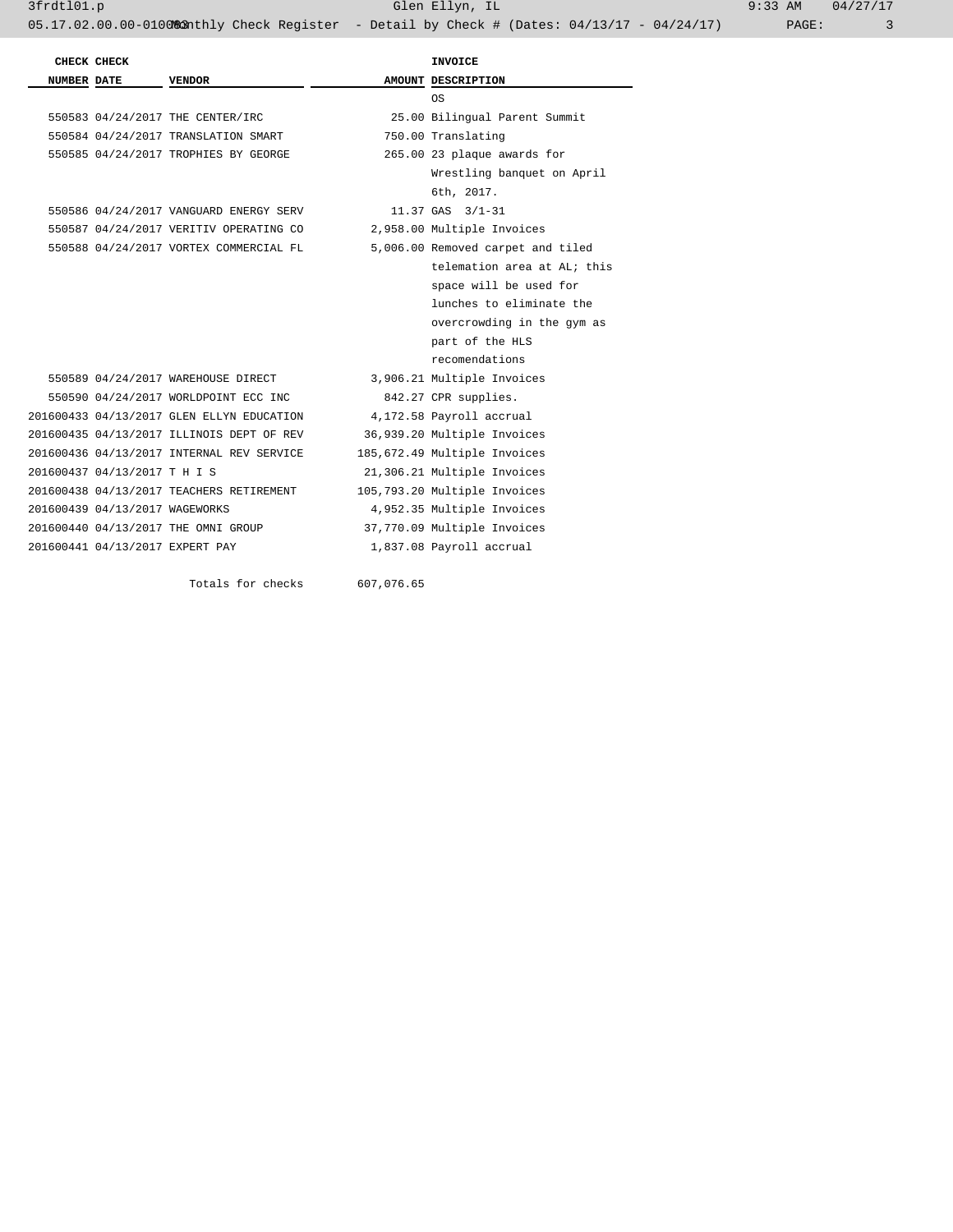3frdtl01.p Glen Ellyn, IL 9:33 AM 04/27/17 05.17.02.00.00-010083nthly Check Register - Detail by Check # (Dates: 04/13/17 - 04/24/17) PAGE: 3

|                    | CHECK CHECK                    |                                           |            | INVOICE                           |  |
|--------------------|--------------------------------|-------------------------------------------|------------|-----------------------------------|--|
| <b>NUMBER DATE</b> |                                | VENDOR                                    |            | AMOUNT DESCRIPTION                |  |
|                    |                                |                                           |            | 0S                                |  |
|                    |                                | 550583 04/24/2017 THE CENTER/IRC          |            | 25.00 Bilingual Parent Summit     |  |
|                    |                                | 550584 04/24/2017 TRANSLATION SMART       |            | 750.00 Translating                |  |
|                    |                                | 550585 04/24/2017 TROPHIES BY GEORGE      |            | 265.00 23 plaque awards for       |  |
|                    |                                |                                           |            | Wrestling banquet on April        |  |
|                    |                                |                                           |            | 6th, 2017.                        |  |
|                    |                                | 550586 04/24/2017 VANGUARD ENERGY SERV    |            | $11.37$ GAS $3/1-31$              |  |
|                    |                                | 550587 04/24/2017 VERITIV OPERATING CO    |            | 2,958.00 Multiple Invoices        |  |
|                    |                                | 550588 04/24/2017 VORTEX COMMERCIAL FL    |            | 5,006.00 Removed carpet and tiled |  |
|                    |                                |                                           |            | telemation area at AL; this       |  |
|                    |                                |                                           |            | space will be used for            |  |
|                    |                                |                                           |            | lunches to eliminate the          |  |
|                    |                                |                                           |            | overcrowding in the gym as        |  |
|                    |                                |                                           |            | part of the HLS                   |  |
|                    |                                |                                           |            | recomendations                    |  |
|                    |                                | 550589 04/24/2017 WAREHOUSE DIRECT        |            | 3,906.21 Multiple Invoices        |  |
|                    |                                | 550590 04/24/2017 WORLDPOINT ECC INC      |            | 842.27 CPR supplies.              |  |
|                    |                                | 201600433 04/13/2017 GLEN ELLYN EDUCATION |            | 4,172.58 Payroll accrual          |  |
|                    |                                | 201600435 04/13/2017 ILLINOIS DEPT OF REV |            | 36,939.20 Multiple Invoices       |  |
|                    |                                | 201600436 04/13/2017 INTERNAL REV SERVICE |            | 185,672.49 Multiple Invoices      |  |
|                    | 201600437 04/13/2017 T H I S   |                                           |            | 21,306.21 Multiple Invoices       |  |
|                    |                                | 201600438 04/13/2017 TEACHERS RETIREMENT  |            | 105,793.20 Multiple Invoices      |  |
|                    | 201600439 04/13/2017 WAGEWORKS |                                           |            | 4,952.35 Multiple Invoices        |  |
|                    |                                | 201600440 04/13/2017 THE OMNI GROUP       |            | 37,770.09 Multiple Invoices       |  |
|                    |                                | 201600441 04/13/2017 EXPERT PAY           |            | 1,837.08 Payroll accrual          |  |
|                    |                                | Totals for checks                         | 607,076.65 |                                   |  |